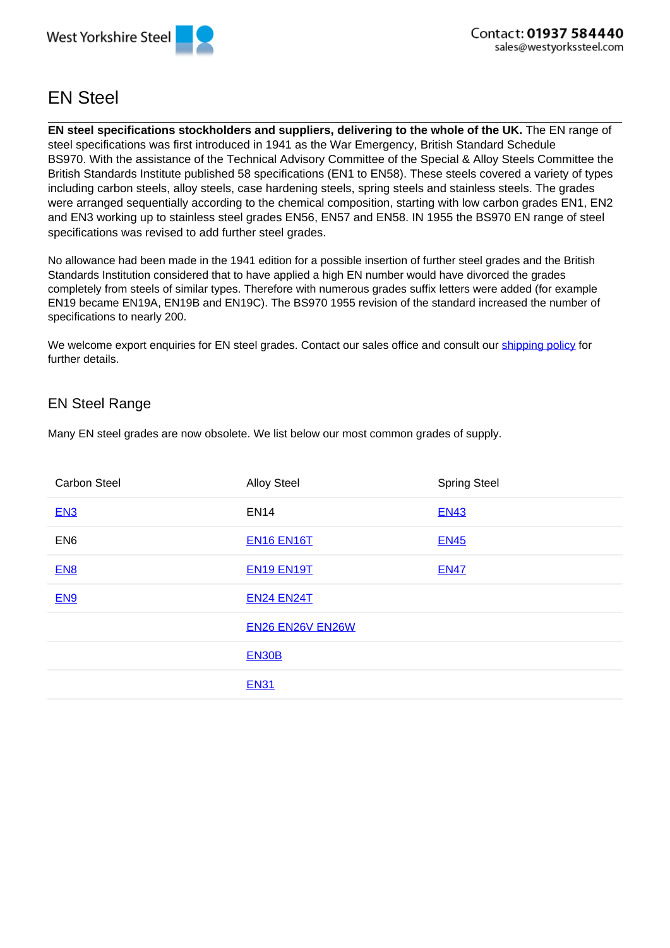

## EN Steel

**EN steel specifications stockholders and suppliers, delivering to the whole of the UK.** The EN range of steel specifications was first introduced in 1941 as the War Emergency, British Standard Schedule BS970. With the assistance of the Technical Advisory Committee of the Special & Alloy Steels Committee the British Standards Institute published 58 specifications (EN1 to EN58). These steels covered a variety of types including carbon steels, alloy steels, case hardening steels, spring steels and stainless steels. The grades were arranged sequentially according to the chemical composition, starting with low carbon grades EN1, EN2 and EN3 working up to stainless steel grades EN56, EN57 and EN58. IN 1955 the BS970 EN range of steel specifications was revised to add further steel grades.

No allowance had been made in the 1941 edition for a possible insertion of further steel grades and the British Standards Institution considered that to have applied a high EN number would have divorced the grades completely from steels of similar types. Therefore with numerous grades suffix letters were added (for example EN19 became EN19A, EN19B and EN19C). The BS970 1955 revision of the standard increased the number of specifications to nearly 200.

We welcome export enquiries for EN steel grades. Contact our sales office and consult our shipping policy for further details.

## EN Steel Range

Many EN steel grades are now obsolete. We list below our most common grades of supply.

| <b>Carbon Steel</b> | <b>Alloy Steel</b>      | <b>Spring Steel</b> |
|---------------------|-------------------------|---------------------|
| EN3                 | <b>EN14</b>             | <b>EN43</b>         |
| EN <sub>6</sub>     | <b>EN16 EN16T</b>       | <b>EN45</b>         |
| EN <sub>8</sub>     | <b>EN19 EN19T</b>       | <b>EN47</b>         |
| EN <sub>9</sub>     | <b>EN24 EN24T</b>       |                     |
|                     | <b>EN26 EN26V EN26W</b> |                     |
|                     | <b>EN30B</b>            |                     |
|                     | <b>EN31</b>             |                     |